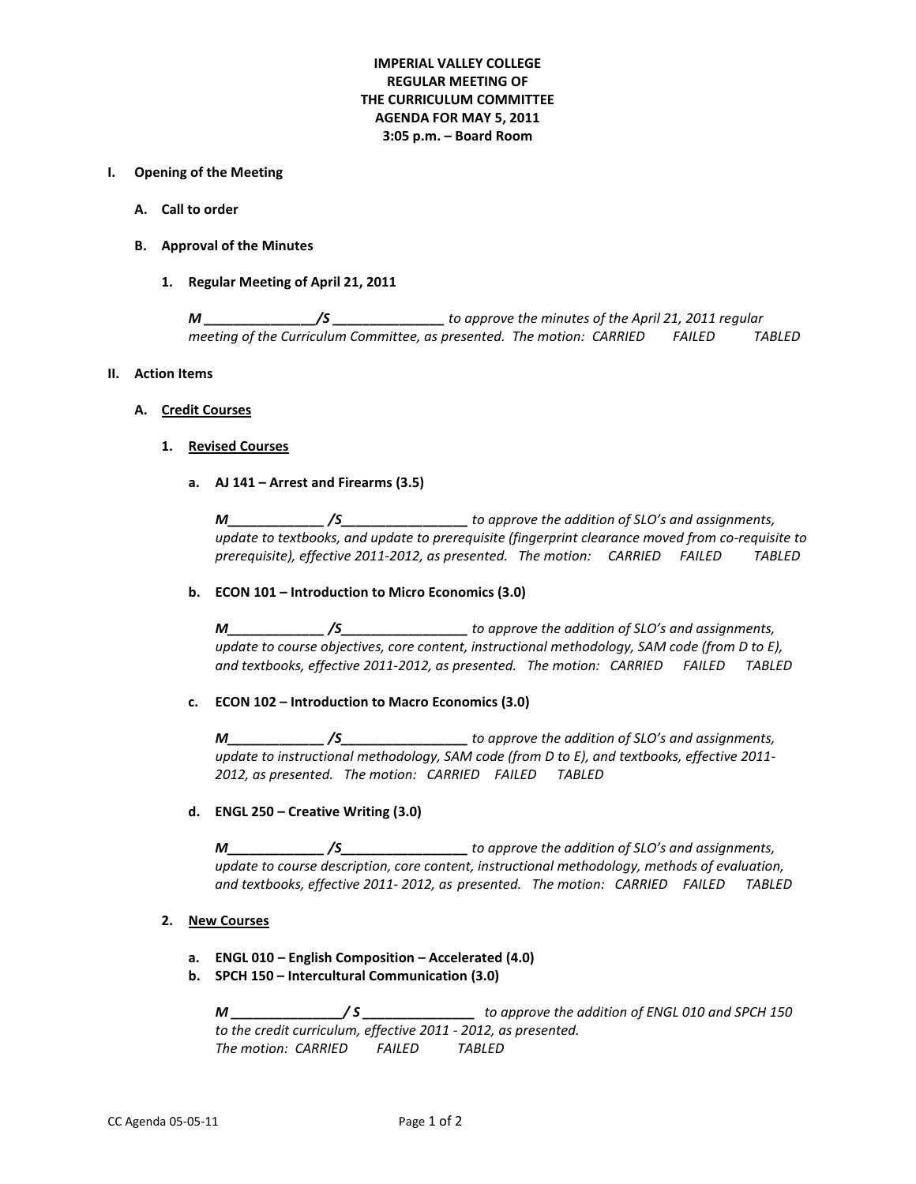# **IMPERIAL VALLEY COLLEGE REGULAR MEETING OF THE CURRICULUM COMMITTEE AGENDA FOR MAY 5, 2011 3:05 p.m. – Board Room**

### **I. Opening of the Meeting**

- **A. Call to order**
- **B. Approval of the Minutes**
	- **1. Regular Meeting of April 21, 2011**

*M \_\_\_\_\_\_\_\_\_\_\_\_\_\_\_/S \_\_\_\_\_\_\_\_\_\_\_\_\_\_\_ to approve the minutes of the April 21, 2011 regular meeting of the Curriculum Committee, as presented. The motion: CARRIED FAILED TABLED*

#### **II. Action Items**

#### **A. Credit Courses**

#### **1. Revised Courses**

**a. AJ 141 – Arrest and Firearms (3.5)**

*M\_\_\_\_\_\_\_\_\_\_\_\_\_ /S\_\_\_\_\_\_\_\_\_\_\_\_\_\_\_\_\_ to approve the addition of SLO's and assignments, update to textbooks, and update to prerequisite (fingerprint clearance moved from co-requisite to prerequisite), effective 2011-2012, as presented. The motion: CARRIED FAILED TABLED*

### **b. ECON 101 – Introduction to Micro Economics (3.0)**

*M\_\_\_\_\_\_\_\_\_\_\_\_\_ /S\_\_\_\_\_\_\_\_\_\_\_\_\_\_\_\_\_ to approve the addition of SLO's and assignments, update to course objectives, core content, instructional methodology, SAM code (from D to E), and textbooks, effective 2011-2012, as presented. The motion: CARRIED FAILED TABLED*

### **c. ECON 102 – Introduction to Macro Economics (3.0)**

*M\_\_\_\_\_\_\_\_\_\_\_\_\_ /S\_\_\_\_\_\_\_\_\_\_\_\_\_\_\_\_\_ to approve the addition of SLO's and assignments, update to instructional methodology, SAM code (from D to E), and textbooks, effective 2011- 2012, as presented. The motion: CARRIED FAILED TABLED*

### **d. ENGL 250 – Creative Writing (3.0)**

*M\_\_\_\_\_\_\_\_\_\_\_\_\_ /S\_\_\_\_\_\_\_\_\_\_\_\_\_\_\_\_\_ to approve the addition of SLO's and assignments, update to course description, core content, instructional methodology, methods of evaluation, and textbooks, effective 2011- 2012, as presented. The motion: CARRIED FAILED TABLED*

# **2. New Courses**

**a. ENGL 010 – English Composition – Accelerated (4.0)**

### **b. SPCH 150 – Intercultural Communication (3.0)**

*M \_\_\_\_\_\_\_\_\_\_\_\_\_\_\_/ S \_\_\_\_\_\_\_\_\_\_\_\_\_\_\_ to approve the addition of ENGL 010 and SPCH 150 to the credit curriculum, effective 2011 - 2012, as presented. The motion: CARRIED FAILED TABLED*